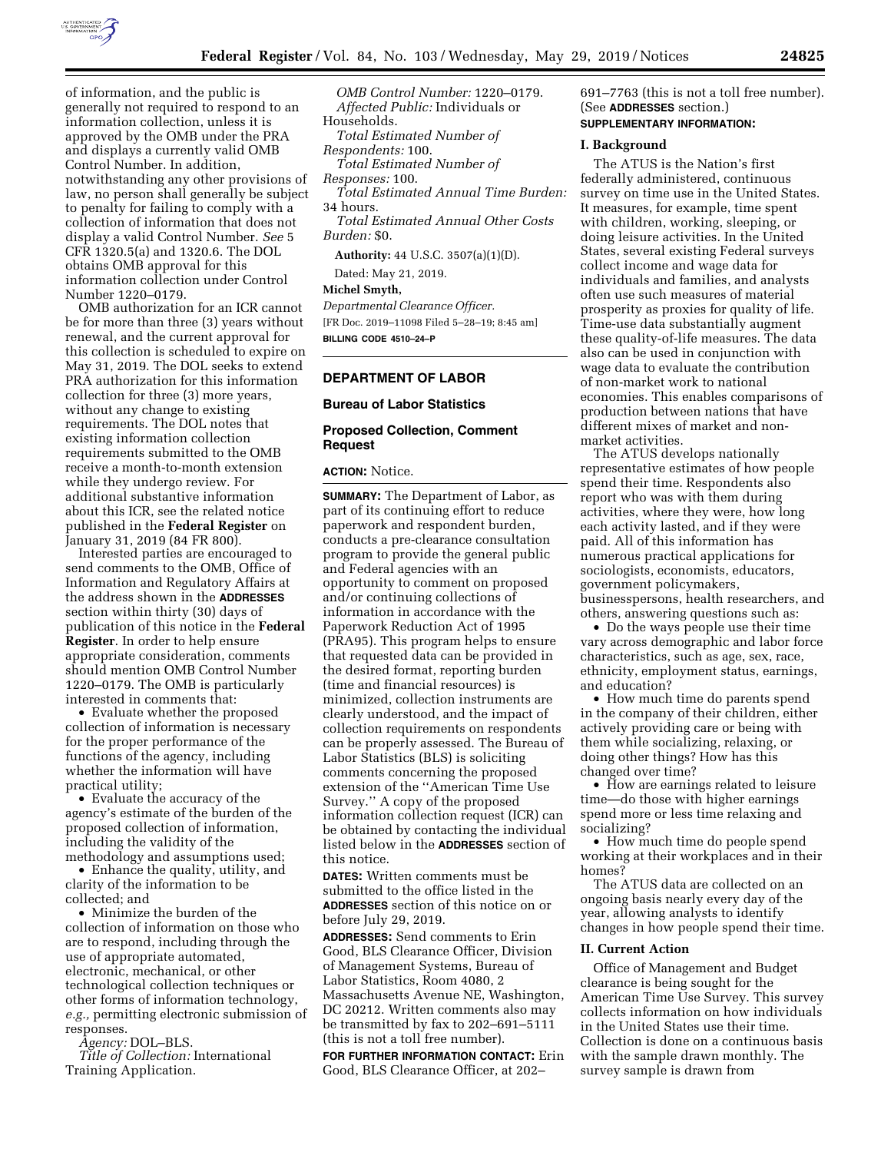

of information, and the public is generally not required to respond to an information collection, unless it is approved by the OMB under the PRA and displays a currently valid OMB Control Number. In addition, notwithstanding any other provisions of law, no person shall generally be subject to penalty for failing to comply with a collection of information that does not display a valid Control Number. *See* 5 CFR 1320.5(a) and 1320.6. The DOL obtains OMB approval for this information collection under Control Number 1220–0179.

OMB authorization for an ICR cannot be for more than three (3) years without renewal, and the current approval for this collection is scheduled to expire on May 31, 2019. The DOL seeks to extend PRA authorization for this information collection for three (3) more years, without any change to existing requirements. The DOL notes that existing information collection requirements submitted to the OMB receive a month-to-month extension while they undergo review. For additional substantive information about this ICR, see the related notice published in the **Federal Register** on January 31, 2019 (84 FR 800).

Interested parties are encouraged to send comments to the OMB, Office of Information and Regulatory Affairs at the address shown in the **ADDRESSES** section within thirty (30) days of publication of this notice in the **Federal Register**. In order to help ensure appropriate consideration, comments should mention OMB Control Number 1220–0179. The OMB is particularly interested in comments that:

• Evaluate whether the proposed collection of information is necessary for the proper performance of the functions of the agency, including whether the information will have practical utility;

• Evaluate the accuracy of the agency's estimate of the burden of the proposed collection of information, including the validity of the methodology and assumptions used;

• Enhance the quality, utility, and clarity of the information to be collected; and

• Minimize the burden of the collection of information on those who are to respond, including through the use of appropriate automated, electronic, mechanical, or other technological collection techniques or other forms of information technology, *e.g.,* permitting electronic submission of responses.

*Agency:* DOL–BLS.

*Title of Collection:* International Training Application.

*OMB Control Number:* 1220–0179. *Affected Public:* Individuals or Households. *Total Estimated Number of Respondents:* 100. *Total Estimated Number of Responses:* 100. *Total Estimated Annual Time Burden:*  34 hours. *Total Estimated Annual Other Costs Burden:* \$0. **Authority:** 44 U.S.C. 3507(a)(1)(D).

Dated: May 21, 2019.

#### **Michel Smyth,**

*Departmental Clearance Officer.*  [FR Doc. 2019–11098 Filed 5–28–19; 8:45 am] **BILLING CODE 4510–24–P** 

#### **DEPARTMENT OF LABOR**

## **Bureau of Labor Statistics**

# **Proposed Collection, Comment Request**

**ACTION:** Notice.

**SUMMARY:** The Department of Labor, as part of its continuing effort to reduce paperwork and respondent burden, conducts a pre-clearance consultation program to provide the general public and Federal agencies with an opportunity to comment on proposed and/or continuing collections of information in accordance with the Paperwork Reduction Act of 1995 (PRA95). This program helps to ensure that requested data can be provided in the desired format, reporting burden (time and financial resources) is minimized, collection instruments are clearly understood, and the impact of collection requirements on respondents can be properly assessed. The Bureau of Labor Statistics (BLS) is soliciting comments concerning the proposed extension of the ''American Time Use Survey.'' A copy of the proposed information collection request (ICR) can be obtained by contacting the individual listed below in the **ADDRESSES** section of this notice.

**DATES:** Written comments must be submitted to the office listed in the **ADDRESSES** section of this notice on or before July 29, 2019.

**ADDRESSES:** Send comments to Erin Good, BLS Clearance Officer, Division of Management Systems, Bureau of Labor Statistics, Room 4080, 2 Massachusetts Avenue NE, Washington, DC 20212. Written comments also may be transmitted by fax to 202–691–5111 (this is not a toll free number).

**FOR FURTHER INFORMATION CONTACT:** Erin Good, BLS Clearance Officer, at 202–

691–7763 (this is not a toll free number). (See **ADDRESSES** section.) **SUPPLEMENTARY INFORMATION:** 

## **I. Background**

The ATUS is the Nation's first federally administered, continuous survey on time use in the United States. It measures, for example, time spent with children, working, sleeping, or doing leisure activities. In the United States, several existing Federal surveys collect income and wage data for individuals and families, and analysts often use such measures of material prosperity as proxies for quality of life. Time-use data substantially augment these quality-of-life measures. The data also can be used in conjunction with wage data to evaluate the contribution of non-market work to national economies. This enables comparisons of production between nations that have different mixes of market and nonmarket activities.

The ATUS develops nationally representative estimates of how people spend their time. Respondents also report who was with them during activities, where they were, how long each activity lasted, and if they were paid. All of this information has numerous practical applications for sociologists, economists, educators, government policymakers, businesspersons, health researchers, and others, answering questions such as:

• Do the ways people use their time vary across demographic and labor force characteristics, such as age, sex, race, ethnicity, employment status, earnings, and education?

• How much time do parents spend in the company of their children, either actively providing care or being with them while socializing, relaxing, or doing other things? How has this changed over time?

• How are earnings related to leisure time—do those with higher earnings spend more or less time relaxing and socializing?

• How much time do people spend working at their workplaces and in their homes?

The ATUS data are collected on an ongoing basis nearly every day of the year, allowing analysts to identify changes in how people spend their time.

#### **II. Current Action**

Office of Management and Budget clearance is being sought for the American Time Use Survey. This survey collects information on how individuals in the United States use their time. Collection is done on a continuous basis with the sample drawn monthly. The survey sample is drawn from